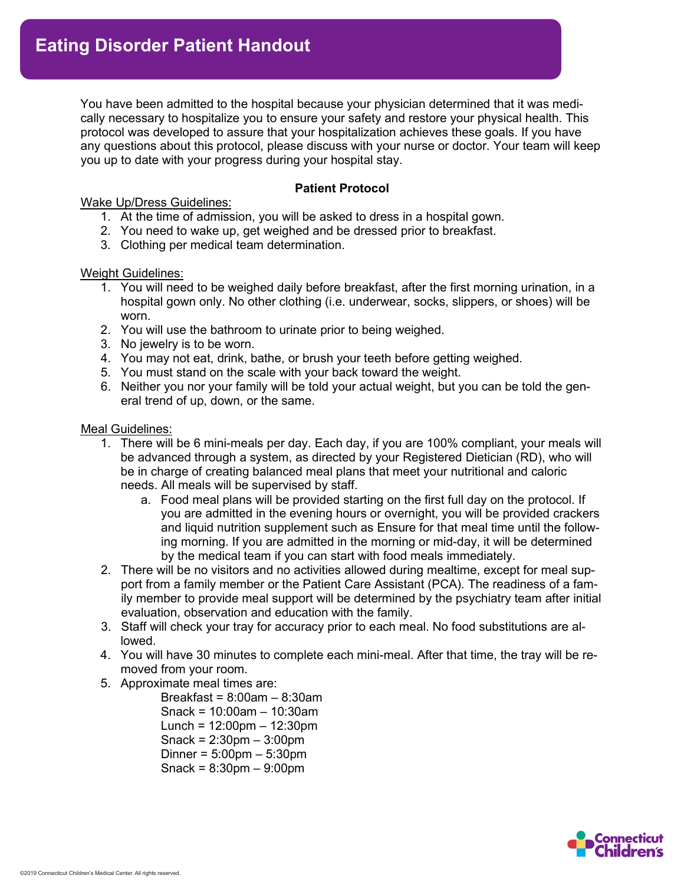You have been admitted to the hospital because your physician determined that it was medically necessary to hospitalize you to ensure your safety and restore your physical health. This protocol was developed to assure that your hospitalization achieves these goals. If you have any questions about this protocol, please discuss with your nurse or doctor. Your team will keep you up to date with your progress during your hospital stay.

**APPENDIX C: Patient Handout**

### **Patient Protocol**

Wake Up/Dress Guidelines:

- 1. At the time of admission, you will be asked to dress in a hospital gown.
- 2. You need to wake up, get weighed and be dressed prior to breakfast.
- 3. Clothing per medical team determination.

#### Weight Guidelines:

- 1. You will need to be weighed daily before breakfast, after the first morning urination, in a hospital gown only. No other clothing (i.e. underwear, socks, slippers, or shoes) will be worn.
- 2. You will use the bathroom to urinate prior to being weighed.
- 3. No jewelry is to be worn.
- 4. You may not eat, drink, bathe, or brush your teeth before getting weighed.
- 5. You must stand on the scale with your back toward the weight.
- 6. Neither you nor your family will be told your actual weight, but you can be told the general trend of up, down, or the same.

#### Meal Guidelines:

- 1. There will be 6 mini-meals per day. Each day, if you are 100% compliant, your meals will be advanced through a system, as directed by your Registered Dietician (RD), who will be in charge of creating balanced meal plans that meet your nutritional and caloric needs. All meals will be supervised by staff.
	- a. Food meal plans will be provided starting on the first full day on the protocol. If you are admitted in the evening hours or overnight, you will be provided crackers and liquid nutrition supplement such as Ensure for that meal time until the following morning. If you are admitted in the morning or mid-day, it will be determined by the medical team if you can start with food meals immediately.
- 2. There will be no visitors and no activities allowed during mealtime, except for meal support from a family member or the Patient Care Assistant (PCA). The readiness of a family member to provide meal support will be determined by the psychiatry team after initial evaluation, observation and education with the family.
- 3. Staff will check your tray for accuracy prior to each meal. No food substitutions are allowed.
- 4. You will have 30 minutes to complete each mini-meal. After that time, the tray will be removed from your room.
- 5. Approximate meal times are:
	- Breakfast =  $8:00$ am  $8:30$ am Snack = 10:00am – 10:30am Lunch = 12:00pm – 12:30pm Snack = 2:30pm – 3:00pm Dinner = 5:00pm – 5:30pm Snack = 8:30pm – 9:00pm

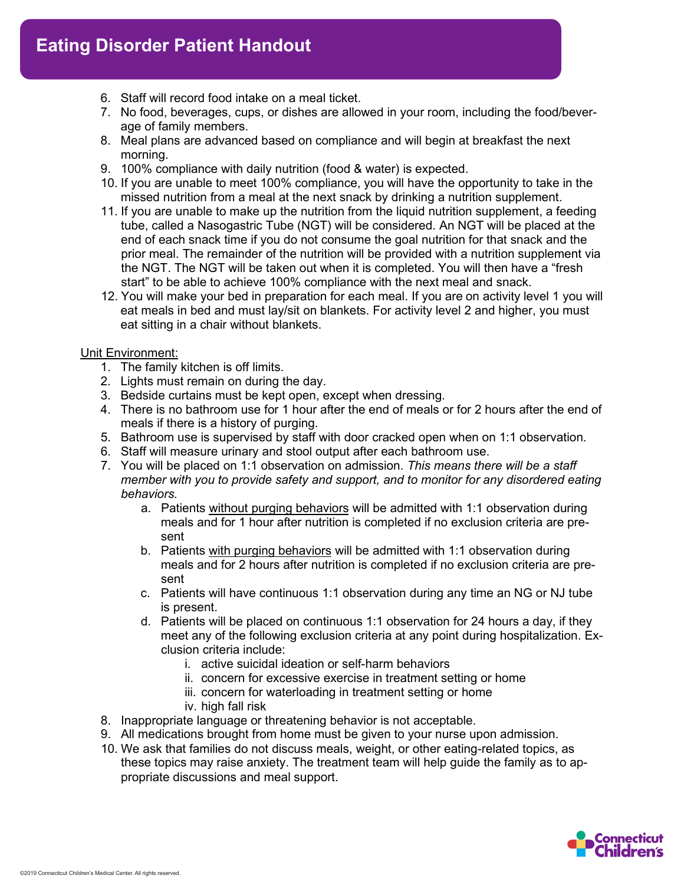- 6. Staff will record food intake on a meal ticket.
- 7. No food, beverages, cups, or dishes are allowed in your room, including the food/beverage of family members.
- 8. Meal plans are advanced based on compliance and will begin at breakfast the next morning.
- 9. 100% compliance with daily nutrition (food & water) is expected.
- 10. If you are unable to meet 100% compliance, you will have the opportunity to take in the missed nutrition from a meal at the next snack by drinking a nutrition supplement.
- 11. If you are unable to make up the nutrition from the liquid nutrition supplement, a feeding tube, called a Nasogastric Tube (NGT) will be considered. An NGT will be placed at the end of each snack time if you do not consume the goal nutrition for that snack and the prior meal. The remainder of the nutrition will be provided with a nutrition supplement via the NGT. The NGT will be taken out when it is completed. You will then have a "fresh start" to be able to achieve 100% compliance with the next meal and snack.
- 12. You will make your bed in preparation for each meal. If you are on activity level 1 you will eat meals in bed and must lay/sit on blankets. For activity level 2 and higher, you must eat sitting in a chair without blankets.

# Unit Environment:

- 1. The family kitchen is off limits.
- 2. Lights must remain on during the day.
- 3. Bedside curtains must be kept open, except when dressing.
- 4. There is no bathroom use for 1 hour after the end of meals or for 2 hours after the end of meals if there is a history of purging.
- 5. Bathroom use is supervised by staff with door cracked open when on 1:1 observation.
- 6. Staff will measure urinary and stool output after each bathroom use.
- 7. You will be placed on 1:1 observation on admission. *This means there will be a staff member with you to provide safety and support, and to monitor for any disordered eating behaviors.*
	- a. Patients without purging behaviors will be admitted with 1:1 observation during meals and for 1 hour after nutrition is completed if no exclusion criteria are present
	- b. Patients with purging behaviors will be admitted with 1:1 observation during meals and for 2 hours after nutrition is completed if no exclusion criteria are present
	- c. Patients will have continuous 1:1 observation during any time an NG or NJ tube is present.
	- d. Patients will be placed on continuous 1:1 observation for 24 hours a day, if they meet any of the following exclusion criteria at any point during hospitalization. Exclusion criteria include:
		- i. active suicidal ideation or self-harm behaviors
		- ii. concern for excessive exercise in treatment setting or home
		- iii. concern for waterloading in treatment setting or home
		- iv. high fall risk
- 8. Inappropriate language or threatening behavior is not acceptable.
- 9. All medications brought from home must be given to your nurse upon admission.
- 10. We ask that families do not discuss meals, weight, or other eating-related topics, as these topics may raise anxiety. The treatment team will help guide the family as to appropriate discussions and meal support.